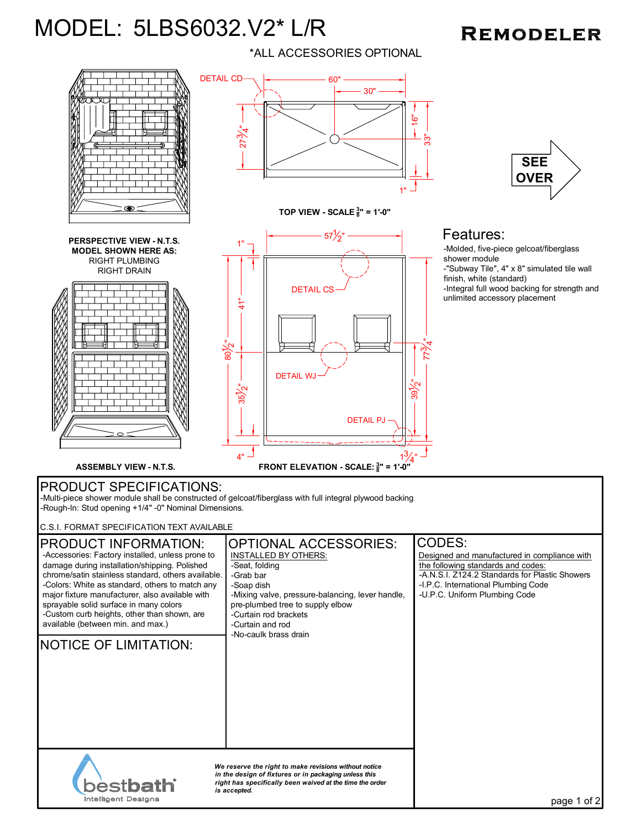## MODEL: 5LBS6032.V2\* L/R

## **REMODELER**





*We reserve the right to make revisions without notice in the design of fixtures or in packaging unless this right has specifically been waived at the time the order is accepted.*